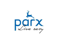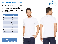#### **POLY COTTON WHITE T-SHIRTS**

Poly Cotton Material for comfort and Polo T-Shirt has a polo color, short sleeves, short button placket, vented hem with back hem longer than front. easy maintenance.

| <b>SIZE</b>  | <b>CHART</b> |
|--------------|--------------|
| <b>XS</b>    | 36           |
| $\mathsf{S}$ | 38           |
| M            | 40           |
| L            | 42           |
| <b>XL</b>    | 44           |
| <b>XXL</b>   | 46           |
| <b>XXXL</b>  | 48           |



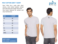#### **POLY COTTON GREY T-SHIRT**

Polo T-Shirt has a polo color, short sleeves, short button placket, vented hem with back hem longer than front. Poly Cotton Material for comfort and easy maintenance.

| <b>SIZE</b>  | <b>CHART</b> |
|--------------|--------------|
| <b>XS</b>    | 36           |
| $\mathsf{S}$ | 38           |
| M            | 40           |
| L            | 42           |
| <b>XL</b>    | 44           |
| <b>XXL</b>   | 46           |
| <b>XXXL</b>  | 48           |



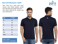#### **POLY COTTON BLACK T-SHIRT**

Polo T-Shirt has a polo color, short sleeves, short button placket, vented hem with back hem longer than front. Poly Cotton Material for comfort and easy maintenance.

| <b>SIZE</b>  | <b>CHART</b> |
|--------------|--------------|
| <b>XS</b>    | 36           |
| $\mathsf{S}$ | 38           |
| M            | 40           |
| L            | 42           |
| <b>XL</b>    | 44           |
| <b>XXL</b>   | 46           |
| <b>XXXL</b>  | 48           |



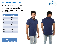### **POLY COTTON BLUE T-SHIRTS**

Polo T-Shirt has a polo color, short sleeves, short button placket, vented hem with back hem longer than front. Poly Cotton Material for comfort and easy maintenance.

| <b>SIZE</b>  | <b>CHART</b> |
|--------------|--------------|
| <b>XS</b>    | 36           |
| $\mathsf{S}$ | 38           |
| M            | 40           |
| L            | 42           |
| <b>XL</b>    | 44           |
| <b>XXL</b>   | 46           |
| <b>XXXL</b>  | 48           |



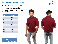### **POLY COTTON MAROON T-SHIRTS**

Polo T-Shirt has a polo color, short sleeves, short button placket, vented hem with back hem longer than front. Poly Cotton Material for comfort and easy maintenance.

| <b>SIZE</b>  | <b>CHART</b> |
|--------------|--------------|
| <b>XS</b>    | 36           |
| $\mathsf{S}$ | 38           |
| M            | 40           |
| L            | 42           |
| <b>XL</b>    | 44           |
| <b>XXL</b>   | 46           |
| <b>XXXL</b>  | 48           |



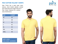#### **POLY COTTON YELLOW T-SHIRTS**

Polo T-Shirt has a polo color, short sleeves, short button placket, vented hem with back hem longer than front Poly Cotton Material for comfort easy maintenance.

| <b>SIZE</b> | <b>CHART</b> |
|-------------|--------------|
| <b>XS</b>   | 36           |
| S           | 38           |
| M           | 40           |
| L           | 42           |
| <b>XL</b>   | 44           |
| <b>XXL</b>  | 46           |
| <b>XXXL</b> | 48           |



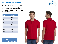#### **POLY COTTON RED T-SHIRTS**

Polo T-Shirt has a polo color, short sleeves, short button placket, vented hem with back hem longer than front. Poly Cotton Material for comfort and easy maintenance.

| <b>SIZE</b>  | <b>CHART</b> |
|--------------|--------------|
| <b>XS</b>    | 36           |
| $\mathsf{S}$ | 38           |
| M            | 40           |
| L            | 42           |
| <b>XL</b>    | 44           |
| <b>XXL</b>   | 46           |
| <b>XXXL</b>  | 48           |



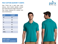### **POLY COTTON SEAPORT T-SHIRTS**

Polo T-Shirt has a polo color, short sleeves, short button placket, vented hem with back hem longer than front. Poly Cotton Material for comfort and easy maintenance.





| <b>SIZE</b>  | <b>CHART</b> |
|--------------|--------------|
| <b>XS</b>    | 36           |
| $\mathsf{S}$ | 38           |
| M            | 40           |
| L            | 42           |
| <b>XL</b>    | 44           |
| <b>XXL</b>   | 46           |
| <b>XXXL</b>  | 48           |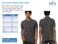#### **POLY COTTON CHARCOAL GREY T-SHIRTS**

Polo T-Shirt has a polo color, short sleeves, short button placket, vented hem with back hem longer than front. Poly Cotton Material for comfort and easy maintenance.

| <b>SIZE</b>  | <b>CHART</b> |
|--------------|--------------|
| <b>XS</b>    | 36           |
| $\mathsf{S}$ | 38           |
| M            | 40           |
| L            | 42           |
| <b>XL</b>    | 44           |
| <b>XXL</b>   | 46           |
| <b>XXXL</b>  | 48           |